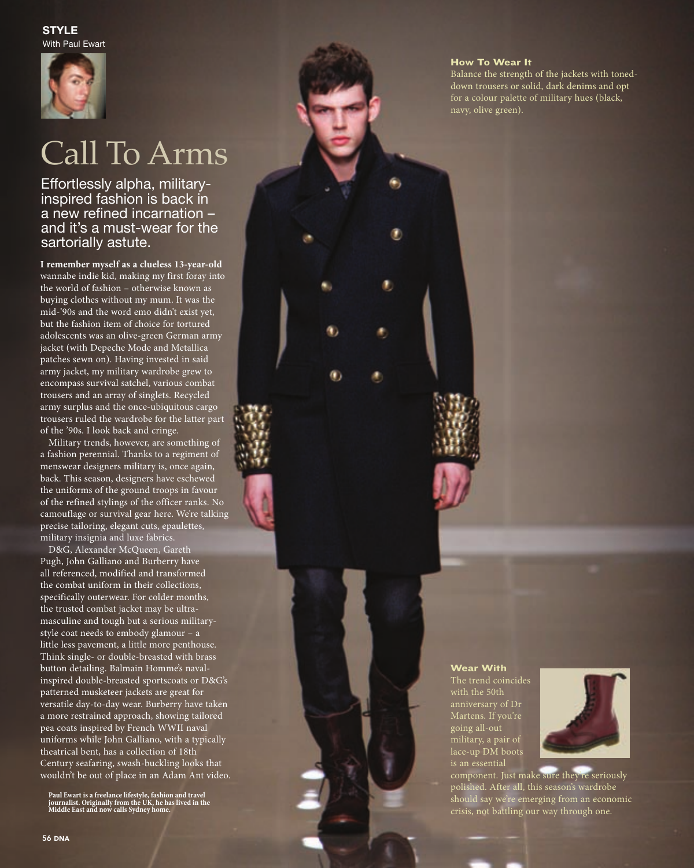

# Call To Arms

inspired fashion is back in <sup>a</sup> new refined incarnation – and it's a must-wear for the sartorially astute.

**I remember myself as a clueless 13-year-old**  wannabe indie kid, making my first foray into the world of fashion – otherwise known as buying clothes without my mum. It was the mid-'90s and the word emo didn't exist yet, but the fashion item of choice for tortured adolescents was an olive-green German army jacket (with Depeche Mode and Metallica patches sewn on). Having invested in said army jacket, my military wardrobe grew to encompass survival satchel, various combat trousers and an array of singlets. Recycled army surplus and the once-ubiquitous cargo trousers ruled the wardrobe for the latter part of the '90s. I look back and cringe.

Military trends, however, are something of a fashion perennial. Thanks to a regiment of menswear designers military is, once again, back. This season, designers have eschewed the uniforms of the ground troops in favour of the refined stylings of the officer ranks. No camouflage or survival gear here. We're talking precise tailoring, elegant cuts, epaulettes, military insignia and luxe fabrica

D& G, Alexander McQueen, Gareth Pugh, John Galliano and Burberry have all referenced, modified and transformed the combat uniform in their collections, specifically outerwear. For colder months, the trusted combat jacket may be ultramasculine and tough but a serious militarystyle coat needs to embody glamour – a little less pavement, a little more penthouse. Think single- or double-breasted with brass button detailing. Balmain Homme's navalinspired double-breasted sportscoats or D& G's patterned musketeer jackets are great for versatile day-to-day wear. Burberry have taken a more restrained approach, showing tailored pea coats inspired by French WWII naval uniforms while John Galliano, with a typically theatrical bent, has a collection of 18th Century seafaring, swash-buckling looks that wouldn't be out of place in an Adam Ant video. **Effortlessly alpha, military-**<br> **Inspired fashion is back in anew refined incarnation - anew refined incarnation - and it's a must-wear for the and now refined incarnation satt of an element systems and it's a must-wear f** 

**Paul Ewart is a freelance lifestyle, fashion and travel journalist. Originally from the UK, he has lived in the** 

### How To Wear It

Balance the strength of the jackets with toneddown trousers or solid, dark denims and opt for a colour palette of military hues (black, navy, olive green).

## Wear With The trend coincides with the 50th anniversary of Dr Martens. If you're going all-out military, a pair of lace-up DM boots is an essential



component. Just make sure they're seriously polished. After all, this season's wardrobe should say we're emerging from an economic crisis, not battling our way through one.